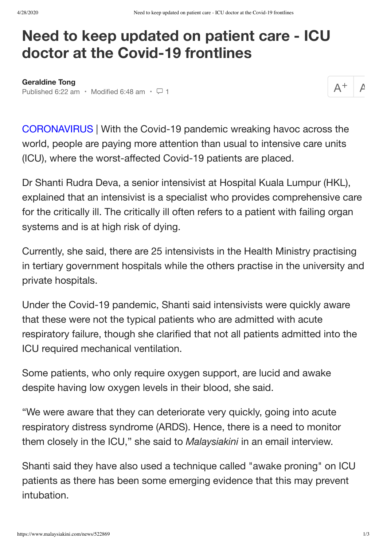## **Need to keep updated on patient care - ICU doctor at the Covid-19 frontlines**

**[Geraldine Tong](https://www.malaysiakini.com/a?language=en&q=Geraldine%20Tong)** Published 6:22 am · Modified 6:48 am ·  $\Box$  1

 $\overline{\mathcal{A}}$ 

CORONAVIRUS | With the Covid-19 pandemic wreaking havoc across the world, people are paying more attention than usual to intensive care units (ICU), where the worst-affected Covid-19 patients are placed.

Dr Shanti Rudra Deva, a senior intensivist at Hospital Kuala Lumpur (HKL), explained that an intensivist is a specialist who provides comprehensive care for the critically ill. The critically ill often refers to a patient with failing organ systems and is at high risk of dying.

Currently, she said, there are 25 intensivists in the Health Ministry practising in tertiary government hospitals while the others practise in the university and private hospitals.

Under the Covid-19 pandemic, Shanti said intensivists were quickly aware that these were not the typical patients who are admitted with acute respiratory failure, though she clarified that not all patients admitted into the ICU required mechanical ventilation.

Some patients, who only require oxygen support, are lucid and awake despite having low oxygen levels in their blood, she said.

"We were aware that they can deteriorate very quickly, going into acute respiratory distress syndrome (ARDS). Hence, there is a need to monitor them closely in the ICU," she said to *Malaysiakini* in an email interview.

Shanti said they have also used a technique called "awake proning" on ICU patients as there has been some emerging evidence that this may prevent intubation.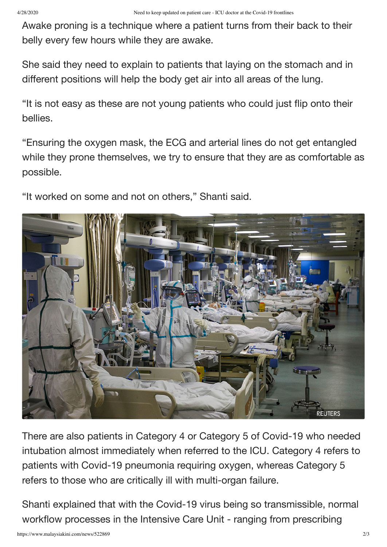Awake proning is a technique where a patient turns from their back to their belly every few hours while they are awake.

She said they need to explain to patients that laying on the stomach and in different positions will help the body get air into all areas of the lung.

"It is not easy as these are not young patients who could just flip onto their bellies.

"Ensuring the oxygen mask, the ECG and arterial lines do not get entangled while they prone themselves, we try to ensure that they are as comfortable as possible.

"It worked on some and not on others," Shanti said.



There are also patients in Category 4 or Category 5 of Covid-19 who needed intubation almost immediately when referred to the ICU. Category 4 refers to patients with Covid-19 pneumonia requiring oxygen, whereas Category 5 refers to those who are critically ill with multi-organ failure.

Shanti explained that with the Covid-19 virus being so transmissible, normal workflow processes in the Intensive Care Unit - ranging from prescribing